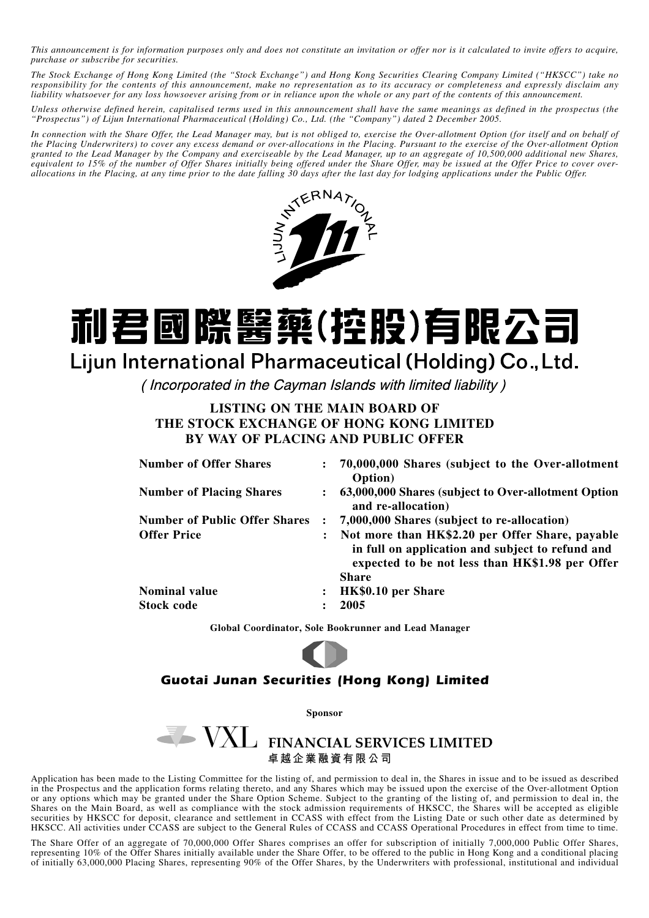*This announcement is for information purposes only and does not constitute an invitation or offer nor is it calculated to invite offers to acquire, purchase or subscribe for securities.*

*The Stock Exchange of Hong Kong Limited (the "Stock Exchange") and Hong Kong Securities Clearing Company Limited ("HKSCC") take no responsibility for the contents of this announcement, make no representation as to its accuracy or completeness and expressly disclaim any liability whatsoever for any loss howsoever arising from or in reliance upon the whole or any part of the contents of this announcement.*

*Unless otherwise defined herein, capitalised terms used in this announcement shall have the same meanings as defined in the prospectus (the "Prospectus") of Lijun International Pharmaceutical (Holding) Co., Ltd. (the "Company") dated 2 December 2005.*

*In connection with the Share Offer, the Lead Manager may, but is not obliged to, exercise the Over-allotment Option (for itself and on behalf of the Placing Underwriters) to cover any excess demand or over-allocations in the Placing. Pursuant to the exercise of the Over-allotment Option granted to the Lead Manager by the Company and exerciseable by the Lead Manager, up to an aggregate of 10,500,000 additional new Shares, equivalent to 15% of the number of Offer Shares initially being offered under the Share Offer, may be issued at the Offer Price to cover overallocations in the Placing, at any time prior to the date falling 30 days after the last day for lodging applications under the Public Offer.*



# 利君國際醫藥(控股)有限公司 Lijun International Pharmaceutical (Holding) Co., Ltd.

(Incorporated in the Cayman Islands with limited liability)

#### **LISTING ON THE MAIN BOARD OF THE STOCK EXCHANGE OF HONG KONG LIMITED BY WAY OF PLACING AND PUBLIC OFFER**

|                | 70,000,000 Shares (subject to the Over-allotment<br>Option)                                                                                                            |
|----------------|------------------------------------------------------------------------------------------------------------------------------------------------------------------------|
|                | 63,000,000 Shares (subject to Over-allotment Option<br>and re-allocation)                                                                                              |
|                | 7,000,000 Shares (subject to re-allocation)                                                                                                                            |
| $\ddot{\cdot}$ | Not more than HK\$2.20 per Offer Share, payable<br>in full on application and subject to refund and<br>expected to be not less than HK\$1.98 per Offer<br><b>Share</b> |
| $\ddot{\cdot}$ | HK\$0.10 per Share                                                                                                                                                     |
|                | 2005                                                                                                                                                                   |
|                |                                                                                                                                                                        |

**Global Coordinator, Sole Bookrunner and Lead Manager**

### *Guotai Junan Securities (Hong Kong) Limited*

**Sponsor**

## VXL FINANCIAL SERVICES LIMITED **卓越企業融資有限公司**

Application has been made to the Listing Committee for the listing of, and permission to deal in, the Shares in issue and to be issued as described in the Prospectus and the application forms relating thereto, and any Shares which may be issued upon the exercise of the Over-allotment Option or any options which may be granted under the Share Option Scheme. Subject to the granting of the listing of, and permission to deal in, the Shares on the Main Board, as well as compliance with the stock admission requirements of HKSCC, the Shares will be accepted as eligible securities by HKSCC for deposit, clearance and settlement in CCASS with effect from the Listing Date or such other date as determined by HKSCC. All activities under CCASS are subject to the General Rules of CCASS and CCASS Operational Procedures in effect from time to time.

The Share Offer of an aggregate of 70,000,000 Offer Shares comprises an offer for subscription of initially 7,000,000 Public Offer Shares, representing 10% of the Offer Shares initially available under the Share Offer, to be offered to the public in Hong Kong and a conditional placing of initially 63,000,000 Placing Shares, representing 90% of the Offer Shares, by the Underwriters with professional, institutional and individual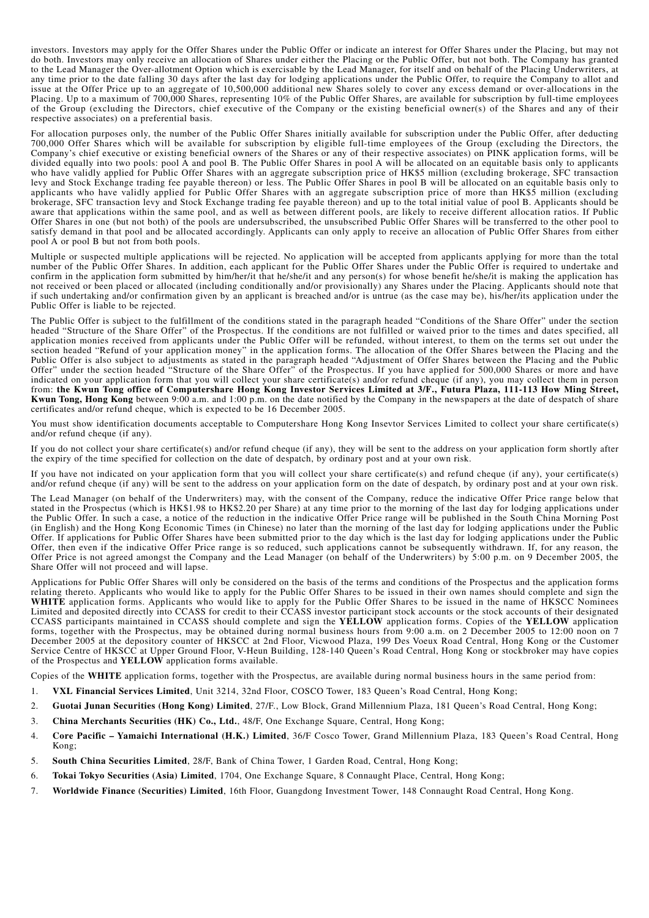investors. Investors may apply for the Offer Shares under the Public Offer or indicate an interest for Offer Shares under the Placing, but may not do both. Investors may only receive an allocation of Shares under either the Placing or the Public Offer, but not both. The Company has granted to the Lead Manager the Over-allotment Option which is exercisable by the Lead Manager, for itself and on behalf of the Placing Underwriters, at any time prior to the date falling 30 days after the last day for lodging applications under the Public Offer, to require the Company to allot and issue at the Offer Price up to an aggregate of 10,500,000 additional new Shares solely to cover any excess demand or over-allocations in the Placing. Up to a maximum of 700,000 Shares, representing 10% of the Public Offer Shares, are available for subscription by full-time employees of the Group (excluding the Directors, chief executive of the Company or the existing beneficial owner(s) of the Shares and any of their respective associates) on a preferential basis.

For allocation purposes only, the number of the Public Offer Shares initially available for subscription under the Public Offer, after deducting 700,000 Offer Shares which will be available for subscription by eligible full-time employees of the Group (excluding the Directors, the Company's chief executive or existing beneficial owners of the Shares or any of their respective associates) on PINK application forms, will be divided equally into two pools: pool A and pool B. The Public Offer Shares in pool A will be allocated on an equitable basis only to applicants who have validly applied for Public Offer Shares with an aggregate subscription price of HK\$5 million (excluding brokerage, SFC transaction levy and Stock Exchange trading fee payable thereon) or less. The Public Offer Shares in pool B will be allocated on an equitable basis only to applicants who have validly applied for Public Offer Shares with an aggregate subscription price of more than HK\$5 million (excluding brokerage, SFC transaction levy and Stock Exchange trading fee payable thereon) and up to the total initial value of pool B. Applicants should be aware that applications within the same pool, and as well as between different pools, are likely to receive different allocation ratios. If Public Offer Shares in one (but not both) of the pools are undersubscribed, the unsubscribed Public Offer Shares will be transferred to the other pool to satisfy demand in that pool and be allocated accordingly. Applicants can only apply to receive an allocation of Public Offer Shares from either pool A or pool B but not from both pools.

Multiple or suspected multiple applications will be rejected. No application will be accepted from applicants applying for more than the total number of the Public Offer Shares. In addition, each applicant for the Public Offer Shares under the Public Offer is required to undertake and confirm in the application form submitted by him/her/it that he/she/it and any person(s) for whose benefit he/she/it is making the application has not received or been placed or allocated (including conditionally and/or provisionally) any Shares under the Placing. Applicants should note that if such undertaking and/or confirmation given by an applicant is breached and/or is untrue (as the case may be), his/her/its application under the Public Offer is liable to be rejected.

The Public Offer is subject to the fulfillment of the conditions stated in the paragraph headed "Conditions of the Share Offer" under the section headed "Structure of the Share Offer" of the Prospectus. If the conditions are not fulfilled or waived prior to the times and dates specified, all application monies received from applicants under the Public Offer will be refunded, without interest, to them on the terms set out under the section headed "Refund of your application money" in the application forms. The allocation of the Offer Shares between the Placing and the Public Offer is also subject to adjustments as stated in the paragraph headed "Adjustment of Offer Shares between the Placing and the Public Offer" under the section headed "Structure of the Share Offer" of the Prospectus. If you have applied for 500,000 Shares or more and have indicated on your application form that you will collect your share certificate(s) and/or refund cheque (if any), you may collect them in person from: **the Kwun Tong office of Computershare Hong Kong Investor Services Limited at 3/F., Futura Plaza, 111-113 How Ming Street, Kwun Tong, Hong Kong** between 9:00 a.m. and 1:00 p.m. on the date notified by the Company in the newspapers at the date of despatch of share certificates and/or refund cheque, which is expected to be 16 December 2005.

You must show identification documents acceptable to Computershare Hong Kong Insevtor Services Limited to collect your share certificate(s) and/or refund cheque (if any).

If you do not collect your share certificate(s) and/or refund cheque (if any), they will be sent to the address on your application form shortly after the expiry of the time specified for collection on the date of despatch, by ordinary post and at your own risk.

If you have not indicated on your application form that you will collect your share certificate(s) and refund cheque (if any), your certificate(s) and/or refund cheque (if any) will be sent to the address on your application form on the date of despatch, by ordinary post and at your own risk.

The Lead Manager (on behalf of the Underwriters) may, with the consent of the Company, reduce the indicative Offer Price range below that stated in the Prospectus (which is HK\$1.98 to HK\$2.20 per Share) at any time prior to the morning of the last day for lodging applications under the Public Offer. In such a case, a notice of the reduction in the indicative Offer Price range will be published in the South China Morning Post (in English) and the Hong Kong Economic Times (in Chinese) no later than the morning of the last day for lodging applications under the Public Offer. If applications for Public Offer Shares have been submitted prior to the day which is the last day for lodging applications under the Public Offer, then even if the indicative Offer Price range is so reduced, such applications cannot be subsequently withdrawn. If, for any reason, the Offer Price is not agreed amongst the Company and the Lead Manager (on behalf of the Underwriters) by 5:00 p.m. on 9 December 2005, the Share Offer will not proceed and will lapse.

Applications for Public Offer Shares will only be considered on the basis of the terms and conditions of the Prospectus and the application forms relating thereto. Applicants who would like to apply for the Public Offer Shares to be issued in their own names should complete and sign the **WHITE** application forms. Applicants who would like to apply for the Public Offer Shares to be issued in the name of HKSCC Nominees Limited and deposited directly into CCASS for credit to their CCASS investor participant stock accounts or the stock accounts of their designated CCASS participants maintained in CCASS should complete and sign the **YELLOW** application forms. Copies of the **YELLOW** application forms, together with the Prospectus, may be obtained during normal business hours from 9:00 a.m. on 2 December 2005 to 12:00 noon on 7 December 2005 at the depository counter of HKSCC at 2nd Floor, Vicwood Plaza, 199 Des Voeux Road Central, Hong Kong or the Customer Service Centre of HKSCC at Upper Ground Floor, V-Heun Building, 128-140 Queen's Road Central, Hong Kong or stockbroker may have copies of the Prospectus and **YELLOW** application forms available.

Copies of the **WHITE** application forms, together with the Prospectus, are available during normal business hours in the same period from:

- 1. **VXL Financial Services Limited**, Unit 3214, 32nd Floor, COSCO Tower, 183 Queen's Road Central, Hong Kong;
- 2. **Guotai Junan Securities (Hong Kong) Limited**, 27/F., Low Block, Grand Millennium Plaza, 181 Queen's Road Central, Hong Kong;
- 3. **China Merchants Securities (HK) Co., Ltd.**, 48/F, One Exchange Square, Central, Hong Kong;
- 4. **Core Pacific Yamaichi International (H.K.) Limited**, 36/F Cosco Tower, Grand Millennium Plaza, 183 Queen's Road Central, Hong Kong;
- 5. **South China Securities Limited**, 28/F, Bank of China Tower, 1 Garden Road, Central, Hong Kong;
- 6. **Tokai Tokyo Securities (Asia) Limited**, 1704, One Exchange Square, 8 Connaught Place, Central, Hong Kong;
- 7. **Worldwide Finance (Securities) Limited**, 16th Floor, Guangdong Investment Tower, 148 Connaught Road Central, Hong Kong.